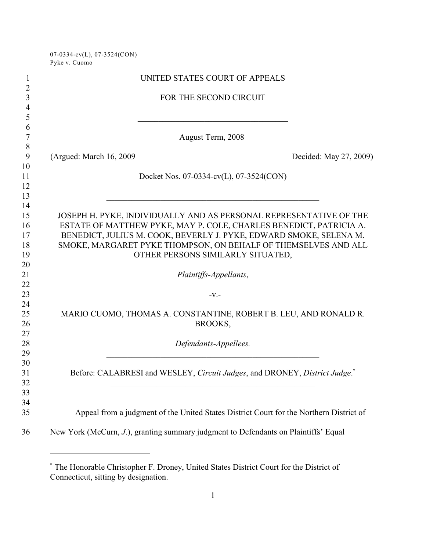07-0334-cv(L), 07-3524(CON) Pyke v. Cuomo

| $\mathbf{1}$                               |                          | UNITED STATES COURT OF APPEALS                                                                                                           |                        |
|--------------------------------------------|--------------------------|------------------------------------------------------------------------------------------------------------------------------------------|------------------------|
| $\overline{2}$<br>3<br>$\overline{4}$<br>5 |                          | FOR THE SECOND CIRCUIT                                                                                                                   |                        |
| 6<br>7                                     |                          | August Term, 2008                                                                                                                        |                        |
| 8<br>9                                     | (Argued: March 16, 2009) |                                                                                                                                          | Decided: May 27, 2009) |
| 10<br>11<br>12<br>13                       |                          | Docket Nos. 07-0334-cv(L), 07-3524(CON)                                                                                                  |                        |
| 14<br>15<br>16                             |                          | JOSEPH H. PYKE, INDIVIDUALLY AND AS PERSONAL REPRESENTATIVE OF THE<br>ESTATE OF MATTHEW PYKE, MAY P. COLE, CHARLES BENEDICT, PATRICIA A. |                        |
| 17                                         |                          | BENEDICT, JULIUS M. COOK, BEVERLY J. PYKE, EDWARD SMOKE, SELENA M.                                                                       |                        |
| 18                                         |                          | SMOKE, MARGARET PYKE THOMPSON, ON BEHALF OF THEMSELVES AND ALL                                                                           |                        |
| 19                                         |                          | OTHER PERSONS SIMILARLY SITUATED,                                                                                                        |                        |
| 20                                         |                          |                                                                                                                                          |                        |
| 21                                         |                          | Plaintiffs-Appellants,                                                                                                                   |                        |
| 22                                         |                          |                                                                                                                                          |                        |
| 23                                         |                          | $-V.$                                                                                                                                    |                        |
| 24<br>25<br>26                             |                          | MARIO CUOMO, THOMAS A. CONSTANTINE, ROBERT B. LEU, AND RONALD R.<br>BROOKS,                                                              |                        |
| 27                                         |                          |                                                                                                                                          |                        |
| 28                                         |                          | Defendants-Appellees.                                                                                                                    |                        |
| 29<br>30                                   |                          |                                                                                                                                          |                        |
| 31                                         |                          | Before: CALABRESI and WESLEY, Circuit Judges, and DRONEY, District Judge.                                                                |                        |
| 32                                         |                          |                                                                                                                                          |                        |
| 33                                         |                          |                                                                                                                                          |                        |
| 34                                         |                          |                                                                                                                                          |                        |
| 35                                         |                          | Appeal from a judgment of the United States District Court for the Northern District of                                                  |                        |
| 36                                         |                          | New York (McCurn, J.), granting summary judgment to Defendants on Plaintiffs' Equal                                                      |                        |

The Honorable Christopher F. Droney, United States District Court for the District of \* Connecticut, sitting by designation.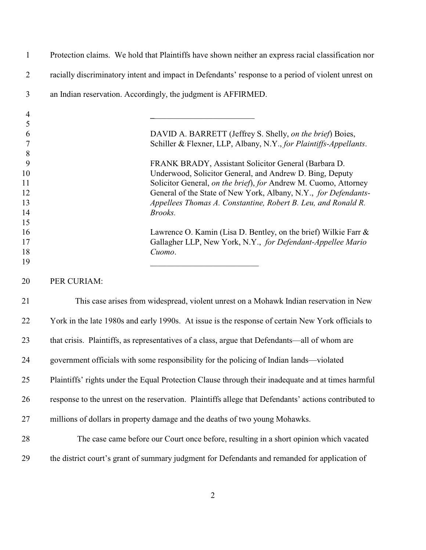Protection claims. We hold that Plaintiffs have shown neither an express racial classification nor racially discriminatory intent and impact in Defendants' response to a period of violent unrest on an Indian reservation. Accordingly, the judgment is AFFIRMED. **\_**\_\_\_\_\_\_\_\_\_\_\_\_\_\_\_\_\_\_\_\_\_\_\_\_ DAVID A. BARRETT (Jeffrey S. Shelly, *on the brief*) Boies,

Schiller & Flexner, LLP, Albany, N.Y., *for Plaintiffs-Appellants*.

 FRANK BRADY, Assistant Solicitor General (Barbara D. Underwood, Solicitor General, and Andrew D. Bing, Deputy Solicitor General, *on the brief*), *for* Andrew M. Cuomo, Attorney General of the State of New York, Albany, N.Y., *for Defendants- Appellees Thomas A. Constantine, Robert B. Leu, and Ronald R. Brooks.*

**Lawrence O. Kamin (Lisa D. Bentley, on the brief)** Wilkie Farr & Gallagher LLP, New York, N.Y., *for Defendant-Appellee Mario Cuomo*.

PER CURIAM:

 This case arises from widespread, violent unrest on a Mohawk Indian reservation in New York in the late 1980s and early 1990s. At issue is the response of certain New York officials to that crisis. Plaintiffs, as representatives of a class, argue that Defendants—all of whom are government officials with some responsibility for the policing of Indian lands—violated Plaintiffs' rights under the Equal Protection Clause through their inadequate and at times harmful response to the unrest on the reservation. Plaintiffs allege that Defendants' actions contributed to millions of dollars in property damage and the deaths of two young Mohawks. 28 The case came before our Court once before, resulting in a short opinion which vacated

\_\_\_\_\_\_\_\_\_\_\_\_\_\_\_\_\_\_\_\_\_\_\_\_\_\_

the district court's grant of summary judgment for Defendants and remanded for application of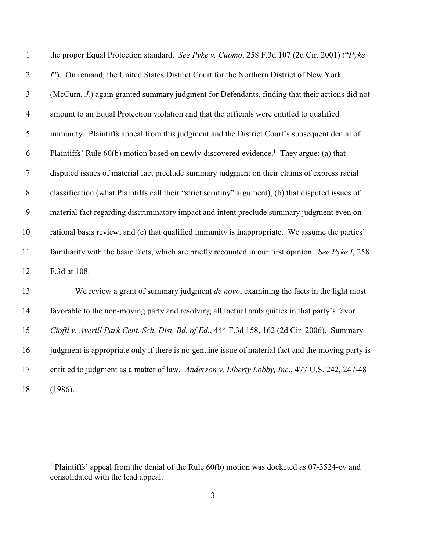| $\mathbf{1}$     | the proper Equal Protection standard. See Pyke v. Cuomo, 258 F.3d 107 (2d Cir. 2001) ("Pyke         |
|------------------|-----------------------------------------------------------------------------------------------------|
| $\overline{2}$   | I"). On remand, the United States District Court for the Northern District of New York              |
| 3                | (McCurn, J.) again granted summary judgment for Defendants, finding that their actions did not      |
| $\overline{4}$   | amount to an Equal Protection violation and that the officials were entitled to qualified           |
| 5                | immunity. Plaintiffs appeal from this judgment and the District Court's subsequent denial of        |
| 6                | Plaintiffs' Rule 60(b) motion based on newly-discovered evidence. <sup>1</sup> They argue: (a) that |
| $\boldsymbol{7}$ | disputed issues of material fact preclude summary judgment on their claims of express racial        |
| $8\,$            | classification (what Plaintiffs call their "strict scrutiny" argument), (b) that disputed issues of |
| 9                | material fact regarding discriminatory impact and intent preclude summary judgment even on          |
| 10               | rational basis review, and (c) that qualified immunity is inappropriate. We assume the parties'     |
| 11               | familiarity with the basic facts, which are briefly recounted in our first opinion. See Pyke I, 258 |
| 12               | F.3d at 108.                                                                                        |
| 13               | We review a grant of summary judgment <i>de novo</i> , examining the facts in the light most        |
| 14               | favorable to the non-moving party and resolving all factual ambiguities in that party's favor.      |
| 15               | Cioffi v. Averill Park Cent. Sch. Dist. Bd. of Ed., 444 F.3d 158, 162 (2d Cir. 2006). Summary       |
| 16               | judgment is appropriate only if there is no genuine issue of material fact and the moving party is  |
| 17               | entitled to judgment as a matter of law. Anderson v. Liberty Lobby, Inc., 477 U.S. 242, 247-48      |
| 18               | (1986).                                                                                             |

<sup>&</sup>lt;sup>1</sup> Plaintiffs' appeal from the denial of the Rule  $60(b)$  motion was docketed as 07-3524-cv and consolidated with the lead appeal.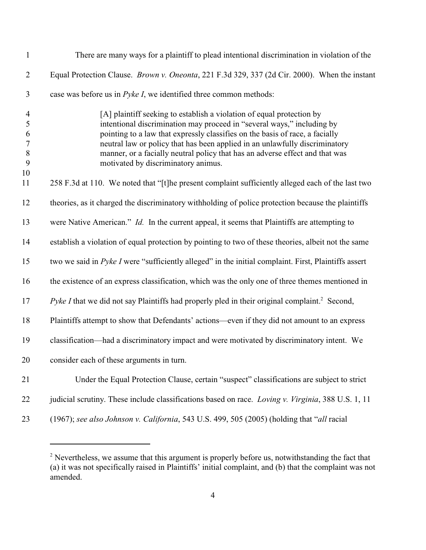| $\mathbf{1}$                                                                        | There are many ways for a plaintiff to plead intentional discrimination in violation of the                                                                                                                                                                                                                                                                                                                                           |
|-------------------------------------------------------------------------------------|---------------------------------------------------------------------------------------------------------------------------------------------------------------------------------------------------------------------------------------------------------------------------------------------------------------------------------------------------------------------------------------------------------------------------------------|
| $\mathbf{2}$                                                                        | Equal Protection Clause. <i>Brown v. Oneonta</i> , 221 F.3d 329, 337 (2d Cir. 2000). When the instant                                                                                                                                                                                                                                                                                                                                 |
| $\mathfrak{Z}$                                                                      | case was before us in <i>Pyke I</i> , we identified three common methods:                                                                                                                                                                                                                                                                                                                                                             |
| $\overline{\mathcal{A}}$<br>5<br>$\sqrt{6}$<br>$\boldsymbol{7}$<br>$8\,$<br>9<br>10 | [A] plaintiff seeking to establish a violation of equal protection by<br>intentional discrimination may proceed in "several ways," including by<br>pointing to a law that expressly classifies on the basis of race, a facially<br>neutral law or policy that has been applied in an unlawfully discriminatory<br>manner, or a facially neutral policy that has an adverse effect and that was<br>motivated by discriminatory animus. |
| 11                                                                                  | 258 F.3d at 110. We noted that "[t]he present complaint sufficiently alleged each of the last two                                                                                                                                                                                                                                                                                                                                     |
| 12                                                                                  | theories, as it charged the discriminatory withholding of police protection because the plaintiffs                                                                                                                                                                                                                                                                                                                                    |
| 13                                                                                  | were Native American." <i>Id.</i> In the current appeal, it seems that Plaintiffs are attempting to                                                                                                                                                                                                                                                                                                                                   |
| 14                                                                                  | establish a violation of equal protection by pointing to two of these theories, albeit not the same                                                                                                                                                                                                                                                                                                                                   |
| 15                                                                                  | two we said in <i>Pyke I</i> were "sufficiently alleged" in the initial complaint. First, Plaintiffs assert                                                                                                                                                                                                                                                                                                                           |
| 16                                                                                  | the existence of an express classification, which was the only one of three themes mentioned in                                                                                                                                                                                                                                                                                                                                       |
| 17                                                                                  | <i>Pyke I</i> that we did not say Plaintiffs had properly pled in their original complaint. <sup>2</sup> Second,                                                                                                                                                                                                                                                                                                                      |
| 18                                                                                  | Plaintiffs attempt to show that Defendants' actions—even if they did not amount to an express                                                                                                                                                                                                                                                                                                                                         |
| 19                                                                                  | classification—had a discriminatory impact and were motivated by discriminatory intent. We                                                                                                                                                                                                                                                                                                                                            |
| 20                                                                                  | consider each of these arguments in turn.                                                                                                                                                                                                                                                                                                                                                                                             |
| 21                                                                                  | Under the Equal Protection Clause, certain "suspect" classifications are subject to strict                                                                                                                                                                                                                                                                                                                                            |
| 22                                                                                  | judicial scrutiny. These include classifications based on race. Loving v. Virginia, 388 U.S. 1, 11                                                                                                                                                                                                                                                                                                                                    |
| 23                                                                                  | (1967); see also Johnson v. California, 543 U.S. 499, 505 (2005) (holding that "all racial                                                                                                                                                                                                                                                                                                                                            |

 $<sup>2</sup>$  Nevertheless, we assume that this argument is properly before us, notwithstanding the fact that</sup> (a) it was not specifically raised in Plaintiffs' initial complaint, and (b) that the complaint was not amended.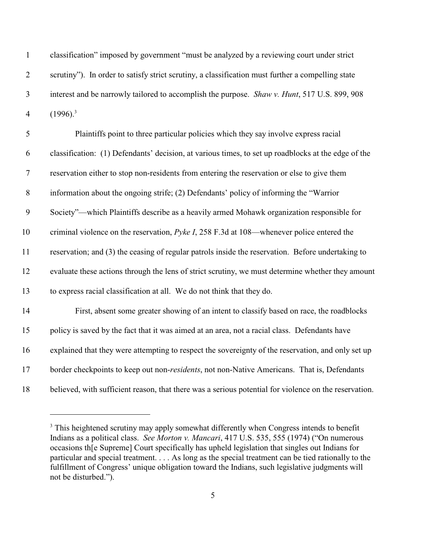| $\mathbf{1}$     | classification" imposed by government "must be analyzed by a reviewing court under strict             |
|------------------|-------------------------------------------------------------------------------------------------------|
| $\overline{2}$   | scrutiny"). In order to satisfy strict scrutiny, a classification must further a compelling state     |
| $\mathfrak{Z}$   | interest and be narrowly tailored to accomplish the purpose. Shaw v. Hunt, 517 U.S. 899, 908          |
| $\overline{4}$   | $(1996)^3$                                                                                            |
| 5                | Plaintiffs point to three particular policies which they say involve express racial                   |
| 6                | classification: (1) Defendants' decision, at various times, to set up roadblocks at the edge of the   |
| $\boldsymbol{7}$ | reservation either to stop non-residents from entering the reservation or else to give them           |
| 8                | information about the ongoing strife; (2) Defendants' policy of informing the "Warrior"               |
| 9                | Society"—which Plaintiffs describe as a heavily armed Mohawk organization responsible for             |
| 10               | criminal violence on the reservation, Pyke I, 258 F.3d at 108—whenever police entered the             |
| 11               | reservation; and (3) the ceasing of regular patrols inside the reservation. Before undertaking to     |
| 12               | evaluate these actions through the lens of strict scrutiny, we must determine whether they amount     |
| 13               | to express racial classification at all. We do not think that they do.                                |
| 14               | First, absent some greater showing of an intent to classify based on race, the roadblocks             |
| 15               | policy is saved by the fact that it was aimed at an area, not a racial class. Defendants have         |
| 16               | explained that they were attempting to respect the sovereignty of the reservation, and only set up    |
| 17               | border checkpoints to keep out non-residents, not non-Native Americans. That is, Defendants           |
| 18               | believed, with sufficient reason, that there was a serious potential for violence on the reservation. |

<sup>&</sup>lt;sup>3</sup> This heightened scrutiny may apply somewhat differently when Congress intends to benefit Indians as a political class. *See Morton v. Mancari*, 417 U.S. 535, 555 (1974) ("On numerous occasions th[e Supreme] Court specifically has upheld legislation that singles out Indians for particular and special treatment. . . . As long as the special treatment can be tied rationally to the fulfillment of Congress' unique obligation toward the Indians, such legislative judgments will not be disturbed.").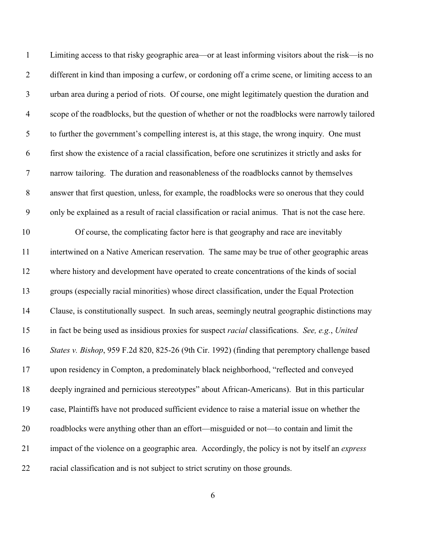| $\mathbf{1}$     | Limiting access to that risky geographic area—or at least informing visitors about the risk—is no       |
|------------------|---------------------------------------------------------------------------------------------------------|
| $\mathbf{2}$     | different in kind than imposing a curfew, or cordoning off a crime scene, or limiting access to an      |
| $\mathfrak{Z}$   | urban area during a period of riots. Of course, one might legitimately question the duration and        |
| $\overline{4}$   | scope of the roadblocks, but the question of whether or not the roadblocks were narrowly tailored       |
| 5                | to further the government's compelling interest is, at this stage, the wrong inquiry. One must          |
| 6                | first show the existence of a racial classification, before one scrutinizes it strictly and asks for    |
| $\overline{7}$   | narrow tailoring. The duration and reasonableness of the roadblocks cannot by themselves                |
| $8\,$            | answer that first question, unless, for example, the roadblocks were so onerous that they could         |
| $\boldsymbol{9}$ | only be explained as a result of racial classification or racial animus. That is not the case here.     |
| 10               | Of course, the complicating factor here is that geography and race are inevitably                       |
| 11               | intertwined on a Native American reservation. The same may be true of other geographic areas            |
| 12               | where history and development have operated to create concentrations of the kinds of social             |
| 13               | groups (especially racial minorities) whose direct classification, under the Equal Protection           |
| 14               | Clause, is constitutionally suspect. In such areas, seemingly neutral geographic distinctions may       |
| 15               | in fact be being used as insidious proxies for suspect racial classifications. See, e.g., United        |
| 16               | States v. Bishop, 959 F.2d 820, 825-26 (9th Cir. 1992) (finding that peremptory challenge based         |
| 17               | upon residency in Compton, a predominately black neighborhood, "reflected and conveyed                  |
| 18               | deeply ingrained and pernicious stereotypes" about African-Americans). But in this particular           |
| 19               | case, Plaintiffs have not produced sufficient evidence to raise a material issue on whether the         |
| 20               | roadblocks were anything other than an effort—misguided or not—to contain and limit the                 |
| 21               | impact of the violence on a geographic area. Accordingly, the policy is not by itself an <i>express</i> |
| 22               | racial classification and is not subject to strict scrutiny on those grounds.                           |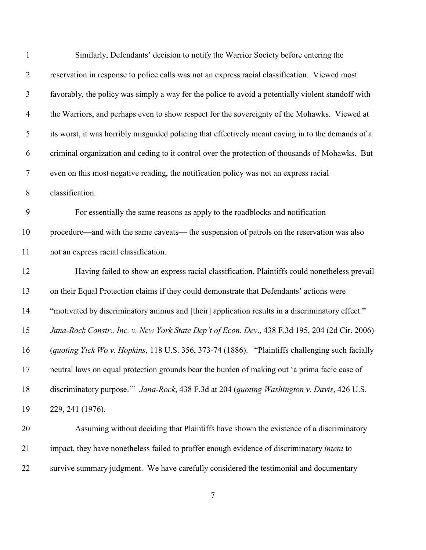| $\mathbf{1}$   | Similarly, Defendants' decision to notify the Warrior Society before entering the                  |
|----------------|----------------------------------------------------------------------------------------------------|
| $\overline{2}$ | reservation in response to police calls was not an express racial classification. Viewed most      |
| $\mathfrak{Z}$ | favorably, the policy was simply a way for the police to avoid a potentially violent standoff with |
| $\overline{4}$ | the Warriors, and perhaps even to show respect for the sovereignty of the Mohawks. Viewed at       |
| 5              | its worst, it was horribly misguided policing that effectively meant caving in to the demands of a |
| 6              | criminal organization and ceding to it control over the protection of thousands of Mohawks. But    |
| $\tau$         | even on this most negative reading, the notification policy was not an express racial              |
| $8\,$          | classification.                                                                                    |
| 9              | For essentially the same reasons as apply to the roadblocks and notification                       |
| 10             | procedure—and with the same caveats— the suspension of patrols on the reservation was also         |
| 11             | not an express racial classification.                                                              |
| 12             | Having failed to show an express racial classification, Plaintiffs could nonetheless prevail       |
| 13             | on their Equal Protection claims if they could demonstrate that Defendants' actions were           |
| 14             | "motivated by discriminatory animus and [their] application results in a discriminatory effect."   |
| 15             | Jana-Rock Constr., Inc. v. New York State Dep't of Econ. Dev., 438 F.3d 195, 204 (2d Cir. 2006)    |
| 16             | (quoting Yick Wo v. Hopkins, 118 U.S. 356, 373-74 (1886). "Plaintiffs challenging such facially    |
| 17             | neutral laws on equal protection grounds bear the burden of making out 'a prima facie case of      |
| 18             | discriminatory purpose." Jana-Rock, 438 F.3d at 204 (quoting Washington v. Davis, 426 U.S.         |
| 19             | 229, 241 (1976).                                                                                   |
| 20             | Assuming without deciding that Plaintiffs have shown the existence of a discriminatory             |
| 21             | impact, they have nonetheless failed to proffer enough evidence of discriminatory intent to        |
| 22             | survive summary judgment. We have carefully considered the testimonial and documentary             |